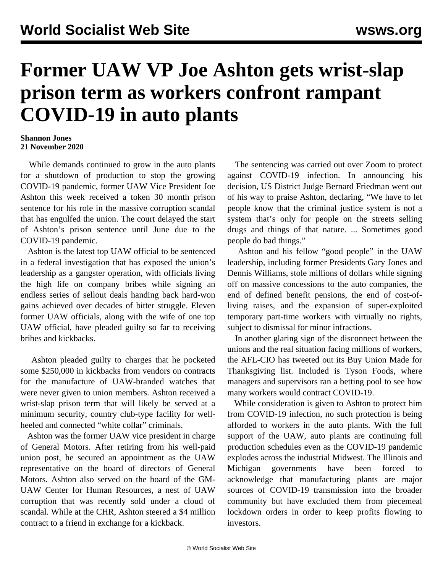## **Former UAW VP Joe Ashton gets wrist-slap prison term as workers confront rampant COVID-19 in auto plants**

## **Shannon Jones 21 November 2020**

 While demands continued to grow in the auto plants for a shutdown of production to stop the growing COVID-19 pandemic, former UAW Vice President Joe Ashton this week received a token 30 month prison sentence for his role in the massive corruption scandal that has engulfed the union. The court delayed the start of Ashton's prison sentence until June due to the COVID-19 pandemic.

 Ashton is the latest top UAW official to be sentenced in a federal investigation that has exposed the union's leadership as a gangster operation, with officials living the high life on company bribes while signing an endless series of sellout deals handing back hard-won gains achieved over decades of bitter struggle. Eleven former UAW officials, along with the wife of one top UAW official, have pleaded guilty so far to receiving bribes and kickbacks.

 Ashton pleaded guilty to charges that he pocketed some \$250,000 in kickbacks from vendors on contracts for the manufacture of UAW-branded watches that were never given to union members. Ashton received a wrist-slap prison term that will likely be served at a minimum security, country club-type facility for wellheeled and connected "white collar" criminals.

 Ashton was the former UAW vice president in charge of General Motors. After retiring from his well-paid union post, he secured an appointment as the UAW representative on the board of directors of General Motors. Ashton also served on the board of the GM-UAW [Center for Human Resources](/en/articles/2020/11/06/uawg-n06.html), a nest of UAW corruption that was recently sold under a cloud of scandal. While at the CHR, Ashton steered a \$4 million contract to a friend in exchange for a kickback.

 The sentencing was carried out over Zoom to protect against COVID-19 infection. In announcing his decision, US District Judge Bernard Friedman went out of his way to praise Ashton, declaring, "We have to let people know that the criminal justice system is not a system that's only for people on the streets selling drugs and things of that nature. ... Sometimes good people do bad things."

 Ashton and his fellow "good people" in the UAW leadership, including former Presidents Gary Jones and Dennis Williams, stole millions of dollars while signing off on massive concessions to the auto companies, the end of defined benefit pensions, the end of cost-ofliving raises, and the expansion of super-exploited temporary part-time workers with virtually no rights, subject to dismissal for minor infractions.

 In another glaring sign of the disconnect between the unions and the real situation facing millions of workers, the AFL-CIO has tweeted out its Buy Union Made for Thanksgiving list. Included is Tyson Foods, where managers and supervisors ran a [betting pool](/en/articles/2020/11/20/meat-n20.html) to see how many workers would contract COVID-19.

 While consideration is given to Ashton to protect him from COVID-19 infection, no such protection is being afforded to workers in the auto plants. With the full support of the UAW, auto plants are continuing full production schedules even as the COVID-19 pandemic explodes across the industrial Midwest. The Illinois and Michigan governments have been forced to acknowledge that manufacturing plants are major sources of COVID-19 transmission into the broader community but have excluded them from piecemeal lockdown orders in order to keep profits flowing to investors.